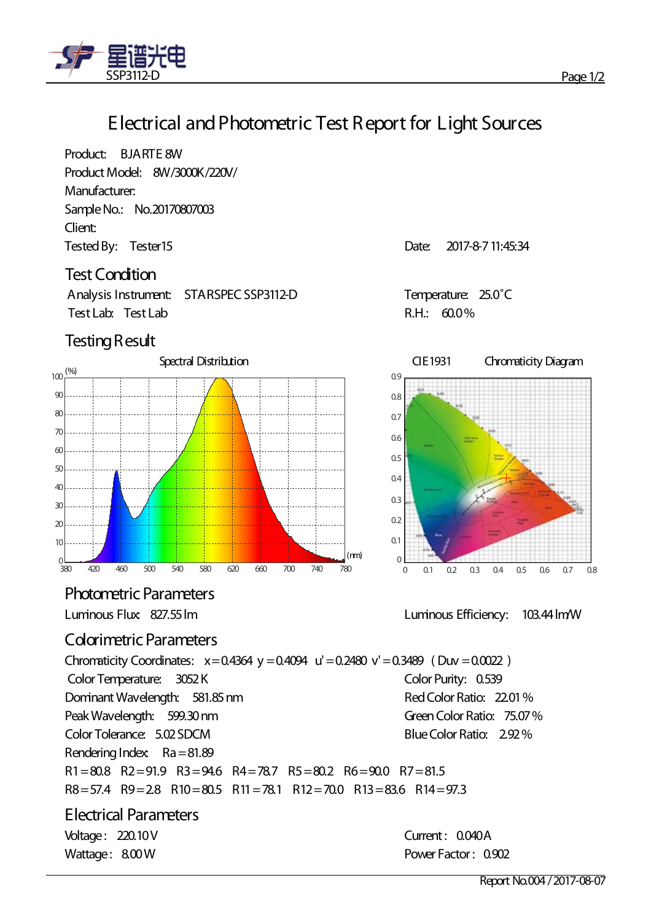

## **Electrical andPhotometric Test Report for Light Sources**

Product: BJARTE 8W Product Model: 8W/3000K/220V/ Manufacturer: SampleNo.: No.20170807003 Client: Tested By: Tester 15 and the US and the US are the US and Date: 2017-8-7 11:45:34

#### **Test Condition**

Analysis Instrument: STARSPEC SSP3112-D Temperature: 25.0˚C Test Lab: Test Lab R.H.: 60.0%

### **Testing Result**



**Photometric Parameters** 

### **Colorimetric Parameters**

Chromaticity Coordinates:  $x=0.4364$  y = 0.4094 u' = 0.2480 v' = 0.3489 (Duv = 0.0022) Color Temperature: 3052 K Color Purity: 0.539 DominantWavelength: 581.85nm PeakWavelength: 599.30nm RedColor Ratio: 22.01% Green Color Ratio: 75.07% Color Tolerance: 5.02 SDCM Blue Color Ratio: 2.92% Rendering Index:  $Ra = 81.89$ R1=80.8 R2=91.9 R3=94.6 R4=78.7 R5=80.2 R6=90.0 R7=81.5 R8=57.4 R9=2.8 R10=80.5 R11=78.1 R12=70.0 R13=83.6 R14=97.3

**Electrical Parameters** Voltage: 220.10V Current: 0.040A



Luminous Flux: 827.55lm Luminous Efficiency: 103.44lm/W

Wattage: 8.00 W **Power Factor: 0.902**